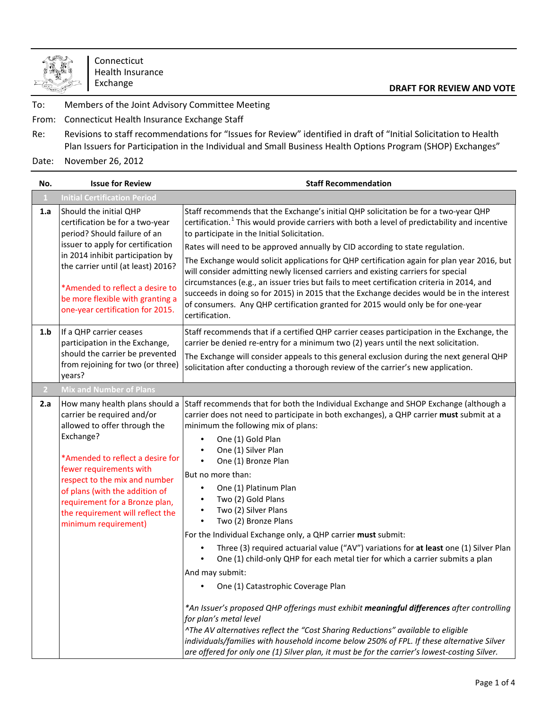

Connecticut Health Insurance Exchange

## **DRAFT FOR REVIEW AND VOTE**

To: Members of the Joint Advisory Committee Meeting

From: Connecticut Health Insurance Exchange Staff

Re: Revisions to staff recommendations for "Issues for Review" identified in draft of "Initial Solicitation to Health Plan Issuers for Participation in the Individual and Small Business Health Options Program (SHOP) Exchanges"

Date: November 26, 2012

| No.            | <b>Issue for Review</b>                                                                                                                                                                                                                                                                                                                   | <b>Staff Recommendation</b>                                                                                                                                                                                                                                                                                                                                                                                                                                                                                                                                                                                                                                                                                                                                                                                                                                                                                           |
|----------------|-------------------------------------------------------------------------------------------------------------------------------------------------------------------------------------------------------------------------------------------------------------------------------------------------------------------------------------------|-----------------------------------------------------------------------------------------------------------------------------------------------------------------------------------------------------------------------------------------------------------------------------------------------------------------------------------------------------------------------------------------------------------------------------------------------------------------------------------------------------------------------------------------------------------------------------------------------------------------------------------------------------------------------------------------------------------------------------------------------------------------------------------------------------------------------------------------------------------------------------------------------------------------------|
| $\perp$        | <b>Initial Certification Period</b>                                                                                                                                                                                                                                                                                                       |                                                                                                                                                                                                                                                                                                                                                                                                                                                                                                                                                                                                                                                                                                                                                                                                                                                                                                                       |
| 1.a            | Should the initial QHP<br>certification be for a two-year<br>period? Should failure of an                                                                                                                                                                                                                                                 | Staff recommends that the Exchange's initial QHP solicitation be for a two-year QHP<br>certification. <sup>1</sup> This would provide carriers with both a level of predictability and incentive<br>to participate in the Initial Solicitation.                                                                                                                                                                                                                                                                                                                                                                                                                                                                                                                                                                                                                                                                       |
|                | issuer to apply for certification                                                                                                                                                                                                                                                                                                         | Rates will need to be approved annually by CID according to state regulation.                                                                                                                                                                                                                                                                                                                                                                                                                                                                                                                                                                                                                                                                                                                                                                                                                                         |
|                | in 2014 inhibit participation by<br>the carrier until (at least) 2016?                                                                                                                                                                                                                                                                    | The Exchange would solicit applications for QHP certification again for plan year 2016, but<br>will consider admitting newly licensed carriers and existing carriers for special                                                                                                                                                                                                                                                                                                                                                                                                                                                                                                                                                                                                                                                                                                                                      |
|                | *Amended to reflect a desire to<br>be more flexible with granting a<br>one-year certification for 2015.                                                                                                                                                                                                                                   | circumstances (e.g., an issuer tries but fails to meet certification criteria in 2014, and<br>succeeds in doing so for 2015) in 2015 that the Exchange decides would be in the interest<br>of consumers. Any QHP certification granted for 2015 would only be for one-year<br>certification.                                                                                                                                                                                                                                                                                                                                                                                                                                                                                                                                                                                                                          |
| 1.b            | If a QHP carrier ceases<br>participation in the Exchange,                                                                                                                                                                                                                                                                                 | Staff recommends that if a certified QHP carrier ceases participation in the Exchange, the<br>carrier be denied re-entry for a minimum two (2) years until the next solicitation.                                                                                                                                                                                                                                                                                                                                                                                                                                                                                                                                                                                                                                                                                                                                     |
|                | should the carrier be prevented<br>from rejoining for two (or three)<br>years?                                                                                                                                                                                                                                                            | The Exchange will consider appeals to this general exclusion during the next general QHP<br>solicitation after conducting a thorough review of the carrier's new application.                                                                                                                                                                                                                                                                                                                                                                                                                                                                                                                                                                                                                                                                                                                                         |
| $\overline{2}$ | <b>Mix and Number of Plans</b>                                                                                                                                                                                                                                                                                                            |                                                                                                                                                                                                                                                                                                                                                                                                                                                                                                                                                                                                                                                                                                                                                                                                                                                                                                                       |
| 2.a            | How many health plans should a<br>carrier be required and/or<br>allowed to offer through the<br>Exchange?<br>*Amended to reflect a desire for<br>fewer requirements with<br>respect to the mix and number<br>of plans (with the addition of<br>requirement for a Bronze plan,<br>the requirement will reflect the<br>minimum requirement) | Staff recommends that for both the Individual Exchange and SHOP Exchange (although a<br>carrier does not need to participate in both exchanges), a QHP carrier must submit at a<br>minimum the following mix of plans:<br>One (1) Gold Plan<br>$\bullet$<br>One (1) Silver Plan<br>$\bullet$<br>$\bullet$<br>One (1) Bronze Plan<br>But no more than:<br>One (1) Platinum Plan<br>$\bullet$<br>Two (2) Gold Plans<br>Two (2) Silver Plans<br>$\bullet$<br>Two (2) Bronze Plans<br>$\bullet$<br>For the Individual Exchange only, a QHP carrier must submit:<br>Three (3) required actuarial value ("AV") variations for at least one (1) Silver Plan<br>One (1) child-only QHP for each metal tier for which a carrier submits a plan<br>And may submit:<br>One (1) Catastrophic Coverage Plan<br>*An Issuer's proposed QHP offerings must exhibit meaningful differences after controlling<br>for plan's metal level |
|                |                                                                                                                                                                                                                                                                                                                                           | ^The AV alternatives reflect the "Cost Sharing Reductions" available to eligible<br>individuals/families with household income below 250% of FPL. If these alternative Silver<br>are offered for only one (1) Silver plan, it must be for the carrier's lowest-costing Silver.                                                                                                                                                                                                                                                                                                                                                                                                                                                                                                                                                                                                                                        |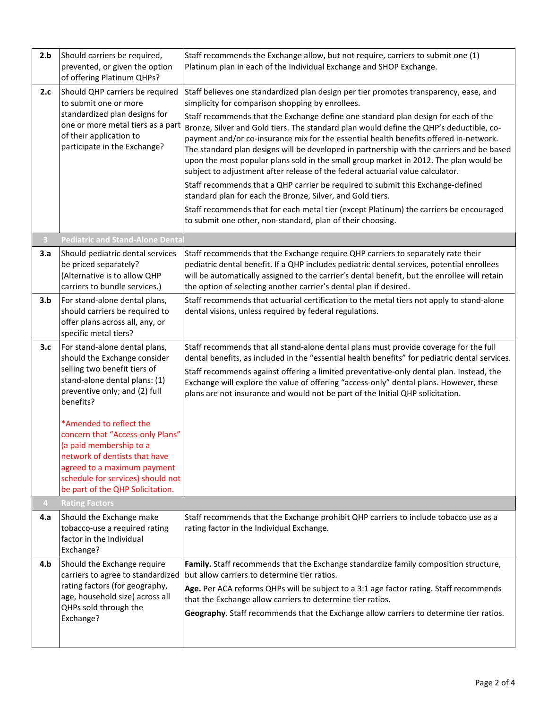| 2.b        | Should carriers be required,                                          | Staff recommends the Exchange allow, but not require, carriers to submit one (1)                                                                                                 |  |  |  |  |
|------------|-----------------------------------------------------------------------|----------------------------------------------------------------------------------------------------------------------------------------------------------------------------------|--|--|--|--|
|            | prevented, or given the option                                        | Platinum plan in each of the Individual Exchange and SHOP Exchange.                                                                                                              |  |  |  |  |
|            | of offering Platinum QHPs?                                            |                                                                                                                                                                                  |  |  |  |  |
| 2.c        | Should QHP carriers be required                                       | Staff believes one standardized plan design per tier promotes transparency, ease, and                                                                                            |  |  |  |  |
|            | to submit one or more                                                 | simplicity for comparison shopping by enrollees.                                                                                                                                 |  |  |  |  |
|            | standardized plan designs for<br>one or more metal tiers as a part    | Staff recommends that the Exchange define one standard plan design for each of the                                                                                               |  |  |  |  |
|            | of their application to                                               | Bronze, Silver and Gold tiers. The standard plan would define the QHP's deductible, co-<br>payment and/or co-insurance mix for the essential health benefits offered in-network. |  |  |  |  |
|            | participate in the Exchange?                                          | The standard plan designs will be developed in partnership with the carriers and be based                                                                                        |  |  |  |  |
|            |                                                                       | upon the most popular plans sold in the small group market in 2012. The plan would be                                                                                            |  |  |  |  |
|            |                                                                       | subject to adjustment after release of the federal actuarial value calculator.                                                                                                   |  |  |  |  |
|            |                                                                       | Staff recommends that a QHP carrier be required to submit this Exchange-defined                                                                                                  |  |  |  |  |
|            |                                                                       | standard plan for each the Bronze, Silver, and Gold tiers.                                                                                                                       |  |  |  |  |
|            |                                                                       | Staff recommends that for each metal tier (except Platinum) the carriers be encouraged                                                                                           |  |  |  |  |
|            |                                                                       | to submit one other, non-standard, plan of their choosing.                                                                                                                       |  |  |  |  |
| $\sqrt{3}$ | <b>Pediatric and Stand-Alone Dental</b>                               |                                                                                                                                                                                  |  |  |  |  |
| 3.a        | Should pediatric dental services                                      | Staff recommends that the Exchange require QHP carriers to separately rate their                                                                                                 |  |  |  |  |
|            | be priced separately?                                                 | pediatric dental benefit. If a QHP includes pediatric dental services, potential enrollees                                                                                       |  |  |  |  |
|            | (Alternative is to allow QHP<br>carriers to bundle services.)         | will be automatically assigned to the carrier's dental benefit, but the enrollee will retain                                                                                     |  |  |  |  |
|            |                                                                       | the option of selecting another carrier's dental plan if desired.                                                                                                                |  |  |  |  |
| 3.b        | For stand-alone dental plans,<br>should carriers be required to       | Staff recommends that actuarial certification to the metal tiers not apply to stand-alone<br>dental visions, unless required by federal regulations.                             |  |  |  |  |
|            | offer plans across all, any, or                                       |                                                                                                                                                                                  |  |  |  |  |
|            | specific metal tiers?                                                 |                                                                                                                                                                                  |  |  |  |  |
| 3.c        | For stand-alone dental plans,                                         | Staff recommends that all stand-alone dental plans must provide coverage for the full                                                                                            |  |  |  |  |
|            | should the Exchange consider                                          | dental benefits, as included in the "essential health benefits" for pediatric dental services.                                                                                   |  |  |  |  |
|            | selling two benefit tiers of<br>stand-alone dental plans: (1)         | Staff recommends against offering a limited preventative-only dental plan. Instead, the                                                                                          |  |  |  |  |
|            | preventive only; and (2) full                                         | Exchange will explore the value of offering "access-only" dental plans. However, these<br>plans are not insurance and would not be part of the Initial QHP solicitation.         |  |  |  |  |
|            | benefits?                                                             |                                                                                                                                                                                  |  |  |  |  |
|            |                                                                       |                                                                                                                                                                                  |  |  |  |  |
|            | *Amended to reflect the<br>concern that "Access-only Plans"           |                                                                                                                                                                                  |  |  |  |  |
|            | (a paid membership to a                                               |                                                                                                                                                                                  |  |  |  |  |
|            | network of dentists that have                                         |                                                                                                                                                                                  |  |  |  |  |
|            | agreed to a maximum payment                                           |                                                                                                                                                                                  |  |  |  |  |
|            | schedule for services) should not<br>be part of the QHP Solicitation. |                                                                                                                                                                                  |  |  |  |  |
| 4          | <b>Rating Factors</b>                                                 |                                                                                                                                                                                  |  |  |  |  |
| 4.a        | Should the Exchange make                                              | Staff recommends that the Exchange prohibit QHP carriers to include tobacco use as a                                                                                             |  |  |  |  |
|            | tobacco-use a required rating                                         | rating factor in the Individual Exchange.                                                                                                                                        |  |  |  |  |
|            | factor in the Individual                                              |                                                                                                                                                                                  |  |  |  |  |
|            | Exchange?                                                             |                                                                                                                                                                                  |  |  |  |  |
| 4.b        | Should the Exchange require<br>carriers to agree to standardized      | Family. Staff recommends that the Exchange standardize family composition structure,<br>but allow carriers to determine tier ratios.                                             |  |  |  |  |
|            | rating factors (for geography,                                        | Age. Per ACA reforms QHPs will be subject to a 3:1 age factor rating. Staff recommends                                                                                           |  |  |  |  |
|            | age, household size) across all                                       | that the Exchange allow carriers to determine tier ratios.                                                                                                                       |  |  |  |  |
|            | QHPs sold through the                                                 | Geography. Staff recommends that the Exchange allow carriers to determine tier ratios.                                                                                           |  |  |  |  |
|            | Exchange?                                                             |                                                                                                                                                                                  |  |  |  |  |
|            |                                                                       |                                                                                                                                                                                  |  |  |  |  |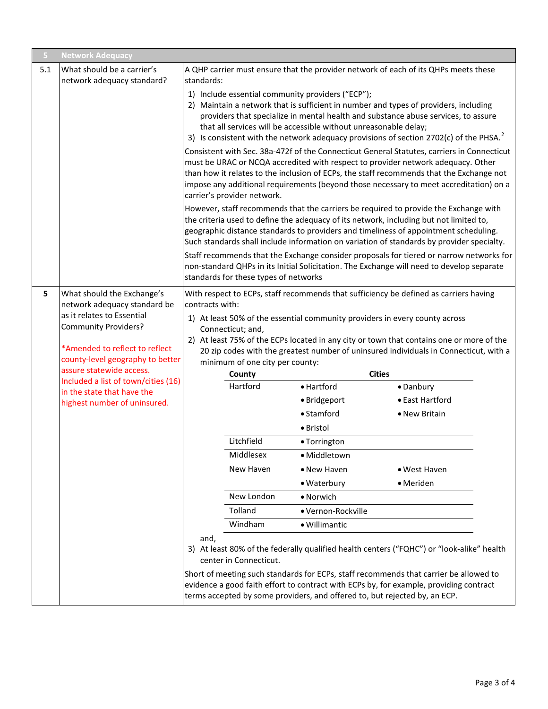| 5   | <b>Network Adequacy</b>                                                                                                                                                                                                   |                                                                                                                                                                                                                                                                                                                                                                     |                                                                                                                                                     |                                                                                                                       |                                                                                                                                                                                                                                                                                                                                                                                |  |
|-----|---------------------------------------------------------------------------------------------------------------------------------------------------------------------------------------------------------------------------|---------------------------------------------------------------------------------------------------------------------------------------------------------------------------------------------------------------------------------------------------------------------------------------------------------------------------------------------------------------------|-----------------------------------------------------------------------------------------------------------------------------------------------------|-----------------------------------------------------------------------------------------------------------------------|--------------------------------------------------------------------------------------------------------------------------------------------------------------------------------------------------------------------------------------------------------------------------------------------------------------------------------------------------------------------------------|--|
| 5.1 | What should be a carrier's                                                                                                                                                                                                | A QHP carrier must ensure that the provider network of each of its QHPs meets these                                                                                                                                                                                                                                                                                 |                                                                                                                                                     |                                                                                                                       |                                                                                                                                                                                                                                                                                                                                                                                |  |
|     | network adequacy standard?                                                                                                                                                                                                | standards:                                                                                                                                                                                                                                                                                                                                                          |                                                                                                                                                     |                                                                                                                       |                                                                                                                                                                                                                                                                                                                                                                                |  |
|     |                                                                                                                                                                                                                           |                                                                                                                                                                                                                                                                                                                                                                     |                                                                                                                                                     | 1) Include essential community providers ("ECP");<br>that all services will be accessible without unreasonable delay; | 2) Maintain a network that is sufficient in number and types of providers, including<br>providers that specialize in mental health and substance abuse services, to assure<br>3) Is consistent with the network adequacy provisions of section 2702(c) of the PHSA. <sup>2</sup><br>Consistent with Sec. 38a-472f of the Connecticut General Statutes, carriers in Connecticut |  |
|     |                                                                                                                                                                                                                           | must be URAC or NCQA accredited with respect to provider network adequacy. Other<br>than how it relates to the inclusion of ECPs, the staff recommends that the Exchange not<br>impose any additional requirements (beyond those necessary to meet accreditation) on a<br>carrier's provider network.                                                               |                                                                                                                                                     |                                                                                                                       |                                                                                                                                                                                                                                                                                                                                                                                |  |
|     |                                                                                                                                                                                                                           | However, staff recommends that the carriers be required to provide the Exchange with<br>the criteria used to define the adequacy of its network, including but not limited to,<br>geographic distance standards to providers and timeliness of appointment scheduling.<br>Such standards shall include information on variation of standards by provider specialty. |                                                                                                                                                     |                                                                                                                       |                                                                                                                                                                                                                                                                                                                                                                                |  |
|     |                                                                                                                                                                                                                           | Staff recommends that the Exchange consider proposals for tiered or narrow networks for<br>non-standard QHPs in its Initial Solicitation. The Exchange will need to develop separate<br>standards for these types of networks                                                                                                                                       |                                                                                                                                                     |                                                                                                                       |                                                                                                                                                                                                                                                                                                                                                                                |  |
| 5   | What should the Exchange's<br>network adequacy standard be<br>as it relates to Essential<br><b>Community Providers?</b><br>*Amended to reflect to reflect<br>county-level geography to better<br>assure statewide access. | With respect to ECPs, staff recommends that sufficiency be defined as carriers having<br>contracts with:<br>1) At least 50% of the essential community providers in every county across<br>Connecticut; and,<br>2) At least 75% of the ECPs located in any city or town that contains one or more of the                                                            |                                                                                                                                                     |                                                                                                                       |                                                                                                                                                                                                                                                                                                                                                                                |  |
|     |                                                                                                                                                                                                                           |                                                                                                                                                                                                                                                                                                                                                                     | 20 zip codes with the greatest number of uninsured individuals in Connecticut, with a<br>minimum of one city per county:<br><b>Cities</b><br>County |                                                                                                                       |                                                                                                                                                                                                                                                                                                                                                                                |  |
|     | Included a list of town/cities (16)                                                                                                                                                                                       |                                                                                                                                                                                                                                                                                                                                                                     | Hartford                                                                                                                                            | • Hartford                                                                                                            | · Danbury                                                                                                                                                                                                                                                                                                                                                                      |  |
|     | in the state that have the<br>highest number of uninsured.                                                                                                                                                                |                                                                                                                                                                                                                                                                                                                                                                     |                                                                                                                                                     | · Bridgeport                                                                                                          | • East Hartford                                                                                                                                                                                                                                                                                                                                                                |  |
|     |                                                                                                                                                                                                                           |                                                                                                                                                                                                                                                                                                                                                                     |                                                                                                                                                     | $\bullet$ Stamford                                                                                                    | • New Britain                                                                                                                                                                                                                                                                                                                                                                  |  |
|     |                                                                                                                                                                                                                           |                                                                                                                                                                                                                                                                                                                                                                     |                                                                                                                                                     | · Bristol                                                                                                             |                                                                                                                                                                                                                                                                                                                                                                                |  |
|     |                                                                                                                                                                                                                           |                                                                                                                                                                                                                                                                                                                                                                     | Litchfield                                                                                                                                          | • Torrington                                                                                                          |                                                                                                                                                                                                                                                                                                                                                                                |  |
|     |                                                                                                                                                                                                                           |                                                                                                                                                                                                                                                                                                                                                                     | Middlesex                                                                                                                                           | · Middletown                                                                                                          |                                                                                                                                                                                                                                                                                                                                                                                |  |
|     |                                                                                                                                                                                                                           |                                                                                                                                                                                                                                                                                                                                                                     | New Haven                                                                                                                                           | • New Haven                                                                                                           | • West Haven                                                                                                                                                                                                                                                                                                                                                                   |  |
|     |                                                                                                                                                                                                                           |                                                                                                                                                                                                                                                                                                                                                                     |                                                                                                                                                     | • Waterbury                                                                                                           | • Meriden                                                                                                                                                                                                                                                                                                                                                                      |  |
|     |                                                                                                                                                                                                                           |                                                                                                                                                                                                                                                                                                                                                                     | New London                                                                                                                                          | • Norwich                                                                                                             |                                                                                                                                                                                                                                                                                                                                                                                |  |
|     |                                                                                                                                                                                                                           |                                                                                                                                                                                                                                                                                                                                                                     | Tolland                                                                                                                                             | · Vernon-Rockville                                                                                                    |                                                                                                                                                                                                                                                                                                                                                                                |  |
|     |                                                                                                                                                                                                                           |                                                                                                                                                                                                                                                                                                                                                                     | Windham                                                                                                                                             | · Willimantic                                                                                                         |                                                                                                                                                                                                                                                                                                                                                                                |  |
|     |                                                                                                                                                                                                                           | and,                                                                                                                                                                                                                                                                                                                                                                | center in Connecticut.                                                                                                                              |                                                                                                                       | 3) At least 80% of the federally qualified health centers ("FQHC") or "look-alike" health                                                                                                                                                                                                                                                                                      |  |
|     |                                                                                                                                                                                                                           |                                                                                                                                                                                                                                                                                                                                                                     |                                                                                                                                                     | terms accepted by some providers, and offered to, but rejected by, an ECP.                                            | Short of meeting such standards for ECPs, staff recommends that carrier be allowed to<br>evidence a good faith effort to contract with ECPs by, for example, providing contract                                                                                                                                                                                                |  |